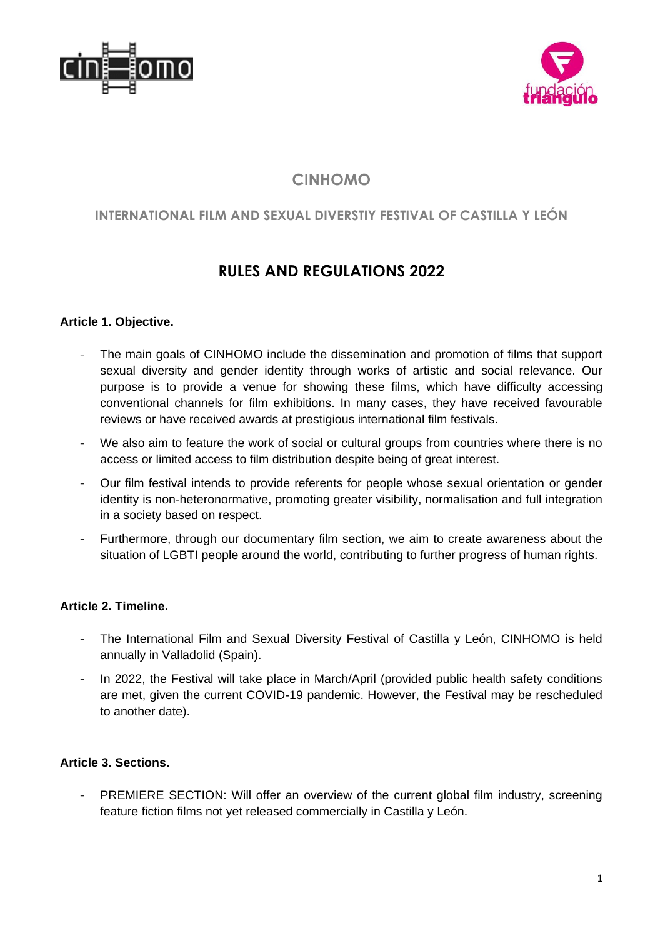



# **CINHOMO**

# **INTERNATIONAL FILM AND SEXUAL DIVERSTIY FESTIVAL OF CASTILLA Y LEÓN**

# **RULES AND REGULATIONS 2022**

# **Article 1. Objective.**

- The main goals of CINHOMO include the dissemination and promotion of films that support sexual diversity and gender identity through works of artistic and social relevance. Our purpose is to provide a venue for showing these films, which have difficulty accessing conventional channels for film exhibitions. In many cases, they have received favourable reviews or have received awards at prestigious international film festivals.
- We also aim to feature the work of social or cultural groups from countries where there is no access or limited access to film distribution despite being of great interest.
- Our film festival intends to provide referents for people whose sexual orientation or gender identity is non-heteronormative, promoting greater visibility, normalisation and full integration in a society based on respect.
- Furthermore, through our documentary film section, we aim to create awareness about the situation of LGBTI people around the world, contributing to further progress of human rights.

# **Article 2. Timeline.**

- The International Film and Sexual Diversity Festival of Castilla y León, CINHOMO is held annually in Valladolid (Spain).
- In 2022, the Festival will take place in March/April (provided public health safety conditions are met, given the current COVID-19 pandemic. However, the Festival may be rescheduled to another date).

# **Article 3. Sections.**

PREMIERE SECTION: Will offer an overview of the current global film industry, screening feature fiction films not yet released commercially in Castilla y León.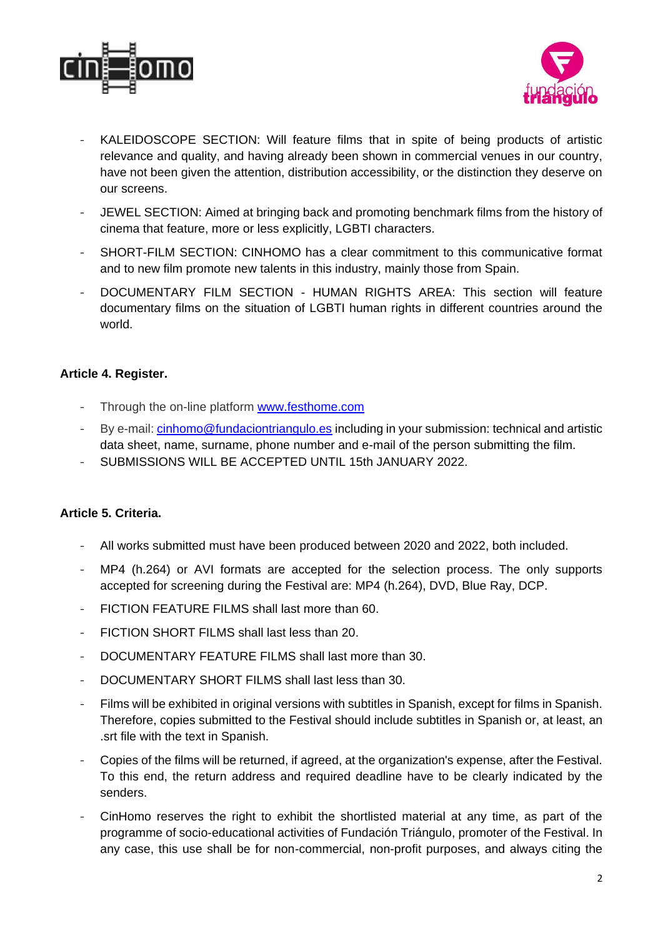



- KALEIDOSCOPE SECTION: Will feature films that in spite of being products of artistic relevance and quality, and having already been shown in commercial venues in our country, have not been given the attention, distribution accessibility, or the distinction they deserve on our screens.
- JEWEL SECTION: Aimed at bringing back and promoting benchmark films from the history of cinema that feature, more or less explicitly, LGBTI characters.
- SHORT-FILM SECTION: CINHOMO has a clear commitment to this communicative format and to new film promote new talents in this industry, mainly those from Spain.
- DOCUMENTARY FILM SECTION HUMAN RIGHTS AREA: This section will feature documentary films on the situation of LGBTI human rights in different countries around the world.

# **Article 4. Register.**

- Through the on-line platform [www.festhome.com](http://www.festhome.com/)
- By e-mail: [cinhomo@fundaciontriangulo.es](mailto:cinhomo@fundaciontriangulo.es) including in your submission: technical and artistic data sheet, name, surname, phone number and e-mail of the person submitting the film.
- SUBMISSIONS WILL BE ACCEPTED UNTIL 15th JANUARY 2022.

#### **Article 5. Criteria.**

- All works submitted must have been produced between 2020 and 2022, both included.
- MP4 (h.264) or AVI formats are accepted for the selection process. The only supports accepted for screening during the Festival are: MP4 (h.264), DVD, Blue Ray, DCP.
- FICTION FEATURE FILMS shall last more than 60.
- FICTION SHORT FILMS shall last less than 20.
- DOCUMENTARY FEATURE FILMS shall last more than 30.
- DOCUMENTARY SHORT FILMS shall last less than 30.
- Films will be exhibited in original versions with subtitles in Spanish, except for films in Spanish. Therefore, copies submitted to the Festival should include subtitles in Spanish or, at least, an .srt file with the text in Spanish.
- Copies of the films will be returned, if agreed, at the organization's expense, after the Festival. To this end, the return address and required deadline have to be clearly indicated by the senders.
- CinHomo reserves the right to exhibit the shortlisted material at any time, as part of the programme of socio-educational activities of Fundación Triángulo, promoter of the Festival. In any case, this use shall be for non-commercial, non-profit purposes, and always citing the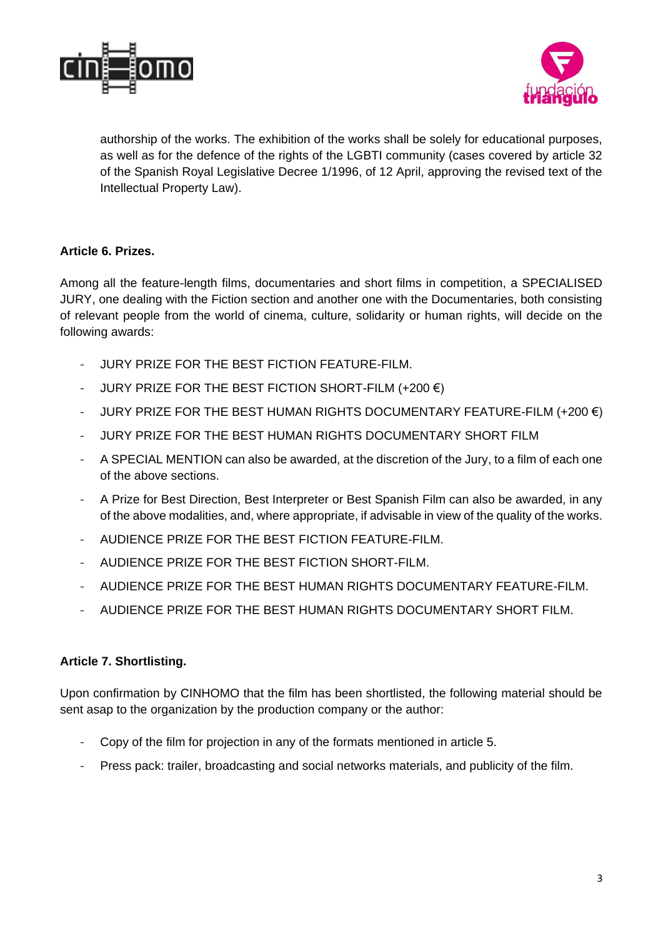



authorship of the works. The exhibition of the works shall be solely for educational purposes, as well as for the defence of the rights of the LGBTI community (cases covered by article 32 of the Spanish Royal Legislative Decree 1/1996, of 12 April, approving the revised text of the Intellectual Property Law).

### **Article 6. Prizes.**

Among all the feature-length films, documentaries and short films in competition, a SPECIALISED JURY, one dealing with the Fiction section and another one with the Documentaries, both consisting of relevant people from the world of cinema, culture, solidarity or human rights, will decide on the following awards:

- JURY PRIZE FOR THE BEST FICTION FEATURE-FILM.
- JURY PRIZE FOR THE BEST FICTION SHORT-FILM  $(+200 \in )$
- JURY PRIZE FOR THE BEST HUMAN RIGHTS DOCUMENTARY FEATURE-FILM  $(+200 \in )$
- JURY PRIZE FOR THE BEST HUMAN RIGHTS DOCUMENTARY SHORT FILM
- A SPECIAL MENTION can also be awarded, at the discretion of the Jury, to a film of each one of the above sections.
- A Prize for Best Direction, Best Interpreter or Best Spanish Film can also be awarded, in any of the above modalities, and, where appropriate, if advisable in view of the quality of the works.
- AUDIENCE PRIZE FOR THE BEST FICTION FEATURE-FILM.
- AUDIENCE PRIZE FOR THE BEST FICTION SHORT-FILM.
- AUDIENCE PRIZE FOR THE BEST HUMAN RIGHTS DOCUMENTARY FEATURE-FILM.
- AUDIENCE PRIZE FOR THE BEST HUMAN RIGHTS DOCUMENTARY SHORT FILM.

#### **Article 7. Shortlisting.**

Upon confirmation by CINHOMO that the film has been shortlisted, the following material should be sent asap to the organization by the production company or the author:

- Copy of the film for projection in any of the formats mentioned in article 5.
- Press pack: trailer, broadcasting and social networks materials, and publicity of the film.